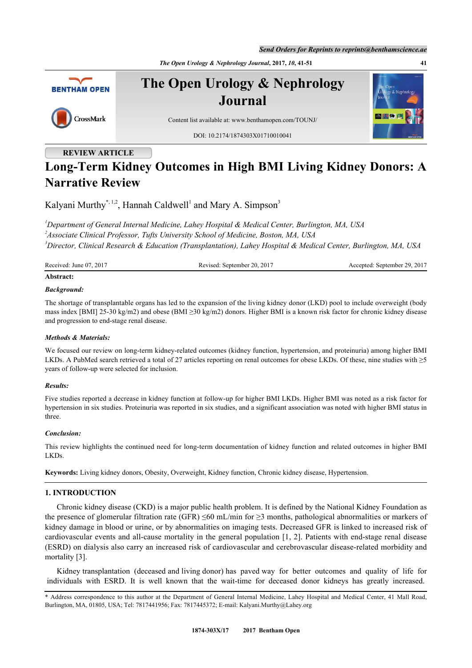*Send Orders for Reprints to reprints@benthamscience.ae*

*The Open Urology & Nephrology Journal***, 2017,** *10***, 41-51 41**



**The Open Urology & Nephrology Journal**





Content list available at: [www.benthamopen.com/TOUNJ/](http://www.benthamopen.com/TOUNJ/)

DOI: [10.2174/1874303X01710010041](http://dx.doi.org/10.2174/1874303X01710010041)

# **REVIEW ARTICLE**

# **Long-Term Kidney Outcomes in High BMI Living Kidney Donors: A Narrative Review**

Kalyani Murthy<sup>[\\*,](#page-0-0) [1,](#page-0-1)[2](#page-0-2)</sup>, Hannah Caldwell<sup>[1](#page-0-1)</sup> and Mary A. Simpson<sup>[3](#page-0-3)</sup>

<span id="page-0-3"></span><span id="page-0-2"></span><span id="page-0-1"></span>*<sup>1</sup>Department of General Internal Medicine, Lahey Hospital & Medical Center, Burlington, MA, USA 2 Associate Clinical Professor, Tufts University School of Medicine, Boston, MA, USA <sup>3</sup>Director, Clinical Research & Education (Transplantation), Lahey Hospital & Medical Center, Burlington, MA, USA*

Received: June 07, 2017 Revised: September 20, 2017 Accepted: September 29, 2017

# **Abstract:**

# *Background:*

The shortage of transplantable organs has led to the expansion of the living kidney donor (LKD) pool to include overweight (body mass index [BMI] 25-30 kg/m2) and obese (BMI ≥30 kg/m2) donors. Higher BMI is a known risk factor for chronic kidney disease and progression to end-stage renal disease.

## *Methods & Materials:*

We focused our review on long-term kidney-related outcomes (kidney function, hypertension, and proteinuria) among higher BMI LKDs. A PubMed search retrieved a total of 27 articles reporting on renal outcomes for obese LKDs. Of these, nine studies with  $\geq 5$ years of follow-up were selected for inclusion.

#### *Results:*

Five studies reported a decrease in kidney function at follow-up for higher BMI LKDs. Higher BMI was noted as a risk factor for hypertension in six studies. Proteinuria was reported in six studies, and a significant association was noted with higher BMI status in three.

#### *Conclusion:*

This review highlights the continued need for long-term documentation of kidney function and related outcomes in higher BMI LKDs.

**Keywords:** Living kidney donors, Obesity, Overweight, Kidney function, Chronic kidney disease, Hypertension.

# **1. INTRODUCTION**

Chronic kidney disease (CKD) is a major public health problem. It is defined by the National Kidney Foundation as the presence of glomerular filtration rate (GFR)  $\leq 60$  mL/min for  $\geq 3$  months, pathological abnormalities or markers of kidney damage in blood or urine, or by abnormalities on imaging tests. Decreased GFR is linked to increased risk of cardiovascular events and all-cause mortality in the general population [[1,](#page-8-0) [2\]](#page-8-1). Patients with end-stage renal disease (ESRD) on dialysis also carry an increased risk of cardiovascular and cerebrovascular disease-related morbidity and mortality [\[3](#page-8-2)].

Kidney transplantation (deceased and living donor) has paved way for better outcomes and quality of life for individuals with ESRD. It is well known that the wait-time for deceased donor kidneys has greatly increased.

<span id="page-0-0"></span><sup>\*</sup> Address correspondence to this author at the Department of General Internal Medicine, Lahey Hospital and Medical Center, 41 Mall Road, Burlington, MA, 01805, USA; Tel: 7817441956; Fax: 7817445372; E-mail: [Kalyani.Murthy@Lahey.org](mailto:Kalyani.Murthy@Lahey.org)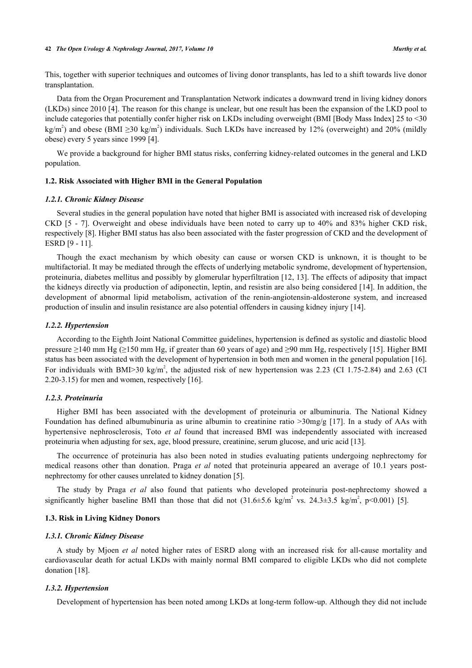#### **42** *The Open Urology & Nephrology Journal, 2017, Volume 10 Murthy et al.*

This, together with superior techniques and outcomes of living donor transplants, has led to a shift towards live donor transplantation.

Data from the Organ Procurement and Transplantation Network indicates a downward trend in living kidney donors (LKDs) since 2010 [[4](#page-8-3)]. The reason for this change is unclear, but one result has been the expansion of the LKD pool to include categories that potentially confer higher risk on LKDs including overweight (BMI [Body Mass Index] 25 to <30 kg/m<sup>2</sup>) and obese (BMI  $\geq$ 30 kg/m<sup>2</sup>) individuals. Such LKDs have increased by 12% (overweight) and 20% (mildly obese) every 5 years since 1999 [[4\]](#page-8-3).

We provide a background for higher BMI status risks, conferring kidney-related outcomes in the general and LKD population.

#### **1.2. Risk Associated with Higher BMI in the General Population**

#### *1.2.1. Chronic Kidney Disease*

Several studies in the general population have noted that higher BMI is associated with increased risk of developing CKD[[5](#page-8-4) - [7](#page-8-5)]. Overweight and obese individuals have been noted to carry up to 40% and 83% higher CKD risk, respectively [[8\]](#page-8-6). Higher BMI status has also been associated with the faster progression of CKD and the development of ESRD [\[9](#page-8-7) - [11](#page-9-0)].

Though the exact mechanism by which obesity can cause or worsen CKD is unknown, it is thought to be multifactorial. It may be mediated through the effects of underlying metabolic syndrome, development of hypertension, proteinuria, diabetes mellitus and possibly by glomerular hyperfiltration [\[12](#page-9-1), [13](#page-9-2)]. The effects of adiposity that impact the kidneys directly via production of adiponectin, leptin, and resistin are also being considered [[14](#page-9-3)]. In addition, the development of abnormal lipid metabolism, activation of the renin-angiotensin-aldosterone system, and increased production of insulin and insulin resistance are also potential offenders in causing kidney injury [[14\]](#page-9-3).

#### *1.2.2. Hypertension*

According to the Eighth Joint National Committee guidelines, hypertension is defined as systolic and diastolic blood pressure ≥140 mm Hg (≥150 mm Hg, if greater than 60 years of age) and ≥90 mm Hg, respectively [[15\]](#page-9-4). Higher BMI status has been associated with the development of hypertension in both men and women in the general population [[16\]](#page-9-5). For individuals with BMI>30 kg/m<sup>2</sup>, the adjusted risk of new hypertension was 2.23 (CI 1.75-2.84) and 2.63 (CI 2.20-3.15) for men and women, respectively [\[16](#page-9-5)].

#### *1.2.3. Proteinuria*

Higher BMI has been associated with the development of proteinuria or albuminuria. The National Kidney Foundation has defined albumubinuria as urine albumin to creatinine ratio >30mg/g [\[17](#page-9-6)]. In a study of AAs with hypertensive nephrosclerosis, Toto *et al* found that increased BMI was independently associated with increased proteinuria when adjusting for sex, age, blood pressure, creatinine, serum glucose, and uric acid [[13\]](#page-9-2).

The occurrence of proteinuria has also been noted in studies evaluating patients undergoing nephrectomy for medical reasons other than donation. Praga *et al* noted that proteinuria appeared an average of 10.1 years postnephrectomy for other causes unrelated to kidney donation [[5\]](#page-8-4).

The study by Praga *et al* also found that patients who developed proteinuria post-nephrectomy showed a significantlyhigher baseline BMI than those that did not  $(31.6 \pm 5.6 \text{ kg/m}^2 \text{ vs. } 24.3 \pm 3.5 \text{ kg/m}^2 \text{, } p<0.001)$  [[5\]](#page-8-4).

#### **1.3. Risk in Living Kidney Donors**

#### *1.3.1. Chronic Kidney Disease*

A study by Mjoen *et al* noted higher rates of ESRD along with an increased risk for all-cause mortality and cardiovascular death for actual LKDs with mainly normal BMI compared to eligible LKDs who did not complete donation [[18\]](#page-9-7).

#### *1.3.2. Hypertension*

Development of hypertension has been noted among LKDs at long-term follow-up. Although they did not include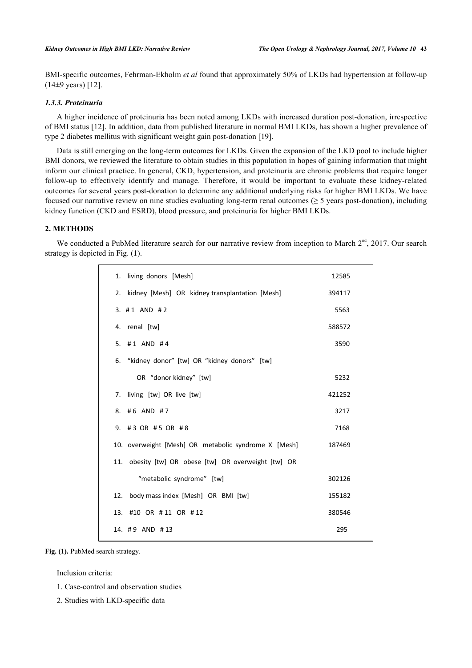BMI-specific outcomes, Fehrman-Ekholm *et al* found that approximately 50% of LKDs had hypertension at follow-up  $(14\pm9 \text{ years})$  [\[12](#page-9-1)].

# *1.3.3. Proteinuria*

A higher incidence of proteinuria has been noted among LKDs with increased duration post-donation, irrespective of BMI status [[12\]](#page-9-1). In addition, data from published literature in normal BMI LKDs, has shown a higher prevalence of type 2 diabetes mellitus with significant weight gain post-donation [\[19](#page-9-8)].

Data is still emerging on the long-term outcomes for LKDs. Given the expansion of the LKD pool to include higher BMI donors, we reviewed the literature to obtain studies in this population in hopes of gaining information that might inform our clinical practice. In general, CKD, hypertension, and proteinuria are chronic problems that require longer follow-up to effectively identify and manage. Therefore, it would be important to evaluate these kidney-related outcomes for several years post-donation to determine any additional underlying risks for higher BMI LKDs. We have focused our narrative review on nine studies evaluating long-term renal outcomes ( $\geq$  5 years post-donation), including kidney function (CKD and ESRD), blood pressure, and proteinuria for higher BMI LKDs.

#### **2. METHODS**

<span id="page-2-0"></span>We conducted a PubMed literature search for our narrative review from inception to March  $2<sup>nd</sup>$ , 2017. Our search strategy is depicted in Fig. (**[1](#page-2-0)**).

| 1. living donors [Mesh]                              | 12585  |
|------------------------------------------------------|--------|
| 2. kidney [Mesh] OR kidney transplantation [Mesh]    | 394117 |
| $3. #1$ AND #2                                       | 5563   |
| 4. renal [tw]                                        | 588572 |
| 5. $\#$ 1 AND $\#$ 4                                 | 3590   |
| 6. "kidney donor" [tw] OR "kidney donors" [tw]       |        |
| OR "donor kidney" [tw]                               | 5232   |
| 7. living [tw] OR live [tw]                          | 421252 |
| 8. #6 AND #7                                         | 3217   |
| 9. #3 OR #5 OR #8                                    | 7168   |
| 10. overweight [Mesh] OR metabolic syndrome X [Mesh] | 187469 |
| 11. obesity [tw] OR obese [tw] OR overweight [tw] OR |        |
| "metabolic syndrome" [tw]                            | 302126 |
| body mass index [Mesh] OR BMI [tw]<br>12.            | 155182 |
| 13. #10 OR #11 OR #12                                | 380546 |
| 14. #9 AND #13                                       | 295    |
|                                                      |        |

Fig. (1). PubMed search strategy.

Inclusion criteria:

- 1. Case-control and observation studies
- 2. Studies with LKD-specific data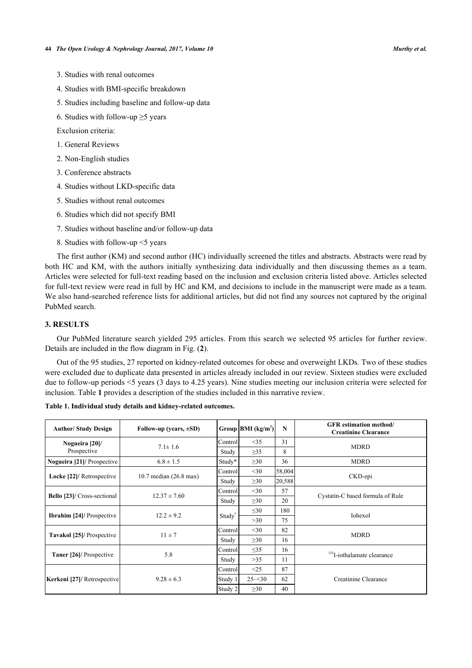- 3. Studies with renal outcomes
- 4. Studies with BMI-specific breakdown
- 5. Studies including baseline and follow-up data
- 6. Studies with follow-up  $\geq$ 5 years

Exclusion criteria:

- 1. General Reviews
- 2. Non-English studies
- 3. Conference abstracts
- 4. Studies without LKD-specific data
- 5. Studies without renal outcomes
- 6. Studies which did not specify BMI
- 7. Studies without baseline and/or follow-up data
- 8. Studies with follow-up <5 years

The first author (KM) and second author (HC) individually screened the titles and abstracts. Abstracts were read by both HC and KM, with the authors initially synthesizing data individually and then discussing themes as a team. Articles were selected for full-text reading based on the inclusion and exclusion criteria listed above. Articles selected for full-text review were read in full by HC and KM, and decisions to include in the manuscript were made as a team. We also hand-searched reference lists for additional articles, but did not find any sources not captured by the original PubMed search.

### **3. RESULTS**

Our PubMed literature search yielded 295 articles. From this search we selected 95 articles for further review. Details are included in the flow diagram in Fig. (**[2](#page-4-0)**).

Out of the 95 studies, 27 reported on kidney-related outcomes for obese and overweight LKDs. Two of these studies were excluded due to duplicate data presented in articles already included in our review. Sixteen studies were excluded due to follow-up periods <5 years (3 days to 4.25 years). Nine studies meeting our inclusion criteria were selected for inclusion. Table **[1](#page-3-0)** provides a description of the studies included in this narrative review.

| <b>Author/Study Design</b>       | Follow-up (years, $\pm SD$ ) |                    | Group $ BMI (kg/m^2) $ | N      | <b>GFR</b> estimation method/<br><b>Creatinine Clearance</b> |
|----------------------------------|------------------------------|--------------------|------------------------|--------|--------------------------------------------------------------|
| Nogueira [20]/                   | $7.1 \pm 1.6$                | Control            | <35                    | 31     | <b>MDRD</b>                                                  |
| Prospective                      |                              | Study              | $\geq$ 35              | 8      |                                                              |
| Nogueira [21]/ Prospective       | $6.8 \pm 1.5$                | Study*             | $\geq 30$              | 36     | <b>MDRD</b>                                                  |
| Locke [22]/ Retrospective        | 10.7 median (26.8 max)       | Control            | $<$ 30                 | 58,004 | CKD-epi                                                      |
|                                  |                              | Study              | $\geq 30$              | 20,588 |                                                              |
| Bello [23]/ Cross-sectional      | $12.37 \pm 7.60$             | Control            | $<$ 30                 | 57     | Cystatin-C based formula of Rule                             |
|                                  |                              | Study              | $\geq 30$              | 20     |                                                              |
| <b>Ibrahim [24]/ Prospective</b> | $12.2 \pm 9.2$               | Study <sup>†</sup> | $\leq 30$              | 180    | Iohexol                                                      |
|                                  |                              |                    | >30                    | 75     |                                                              |
| Tavakol [25]/ Prospective        | $11 \pm 7$                   | Control            | $<$ 30                 | 82     | <b>MDRD</b>                                                  |
|                                  |                              | Study              | $\geq 30$              | 16     |                                                              |
| <b>Taner</b> [26]/ Prospective   | 5.8                          | Control            | $\leq$ 35              | 16     | $125$ I-iothalamate clearance                                |
|                                  |                              | Study              | $>35$                  | 11     |                                                              |
| Kerkeni [27]/ Retrospective      | $9.28 \pm 6.3$               | Control            | <25                    | 87     | Creatinine Clearance                                         |
|                                  |                              | Study 1            | $25 - 30$              | 62     |                                                              |
|                                  |                              | Study 2            | $\geq 30$              | 40     |                                                              |

<span id="page-3-0"></span>**Table 1. Individual study details and kidney-related outcomes.**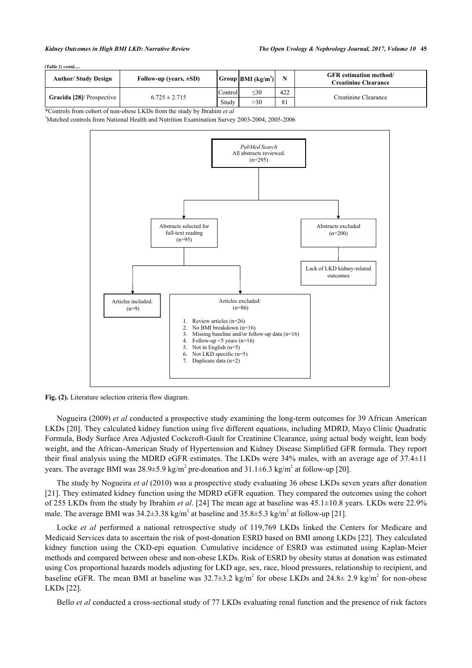| (Table 1) contd |
|-----------------|
|-----------------|

| <b>Author/Study Design</b> | Follow-up (years, $\pm SD$ ) |         | Group BMI(kg/m <sup>2</sup> ) |     | <b>GFR</b> estimation method/<br><b>Creatinine Clearance</b> |
|----------------------------|------------------------------|---------|-------------------------------|-----|--------------------------------------------------------------|
| Gracida [28]/ Prospective  | $6.725 \pm 2.715$            | Control | <30                           | 422 | Creatinine Clearance                                         |
|                            |                              | Study   | >30                           | 81  |                                                              |

\*Controls from cohort of non-obese LKDs from the study by Ibrahim *et al*

<span id="page-4-0"></span>†Matched controls from National Health and Nutrition Examination Survey 2003-2004, 2005-2006



**Fig. (2).** Literature selection criteria flow diagram.

Nogueira (2009) *et al* conducted a prospective study examining the long-term outcomes for 39 African American LKDs [[20\]](#page-9-9). They calculated kidney function using five different equations, including MDRD, Mayo Clinic Quadratic Formula, Body Surface Area Adjusted Cockcroft-Gault for Creatinine Clearance, using actual body weight, lean body weight, and the African-American Study of Hypertension and Kidney Disease Simplified GFR formula. They report their final analysis using the MDRD eGFR estimates. The LKDs were 34% males, with an average age of 37.4±11 years. The average BMI was  $28.9 \pm 5.9$  kg/m<sup>2</sup> pre-donation and  $31.1 \pm 6.3$  kg/m<sup>2</sup> at follow-up [\[20](#page-9-9)].

The study by Nogueira *et al* (2010) was a prospective study evaluating 36 obese LKDs seven years after donation [\[21](#page-9-10)]. They estimated kidney function using the MDRD eGFR equation. They compared the outcomes using the cohort of 255 LKDs from the study by Ibrahim *et al*. [[24\]](#page-9-13) The mean age at baseline was 45.1±10.8 years. LKDs were 22.9% male. The average BMI was  $34.2 \pm 3.38$  kg/m<sup>2</sup> at baseline and  $35.8 \pm 5.3$  kg/m<sup>2</sup> at follow-up [[21\]](#page-9-10).

Locke *et al* performed a national retrospective study of 119,769 LKDs linked the Centers for Medicare and Medicaid Services data to ascertain the risk of post-donation ESRD based on BMI among LKDs [\[22\]](#page-9-11). They calculated kidney function using the CKD-epi equation. Cumulative incidence of ESRD was estimated using Kaplan-Meier methods and compared between obese and non-obese LKDs. Risk of ESRD by obesity status at donation was estimated using Cox proportional hazards models adjusting for LKD age, sex, race, blood pressures, relationship to recipient, and baseline eGFR. The mean BMI at baseline was  $32.7\pm3.2$  kg/m<sup>2</sup> for obese LKDs and  $24.8\pm 2.9$  kg/m<sup>2</sup> for non-obese LKDs [[22\]](#page-9-11).

Bello *et al* conducted a cross-sectional study of 77 LKDs evaluating renal function and the presence of risk factors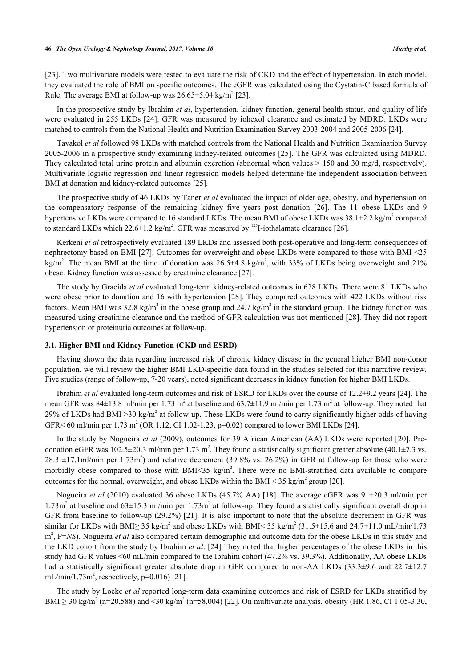[\[23](#page-9-12)]. Two multivariate models were tested to evaluate the risk of CKD and the effect of hypertension. In each model, they evaluated the role of BMI on specific outcomes. The eGFR was calculated using the Cystatin-C based formula of Rule. The average BMI at follow-up was  $26.65 \pm 5.04$  kg/m<sup>2</sup> [\[23](#page-9-12)].

In the prospective study by Ibrahim *et al*, hypertension, kidney function, general health status, and quality of life were evaluated in 255 LKDs [[24\]](#page-9-13). GFR was measured by iohexol clearance and estimated by MDRD. LKDs were matched to controls from the National Health and Nutrition Examination Survey 2003-2004 and 2005-2006 [\[24](#page-9-13)].

Tavakol *et al* followed 98 LKDs with matched controls from the National Health and Nutrition Examination Survey 2005-2006 in a prospective study examining kidney-related outcomes [\[25\]](#page-9-14). The GFR was calculated using MDRD. They calculated total urine protein and albumin excretion (abnormal when values > 150 and 30 mg/d, respectively). Multivariate logistic regression and linear regression models helped determine the independent association between BMI at donation and kidney-related outcomes [[25\]](#page-9-14).

The prospective study of 46 LKDs by Taner *et al* evaluated the impact of older age, obesity, and hypertension on the compensatory response of the remaining kidney five years post donation[[26\]](#page-9-15). The 11 obese LKDs and 9 hypertensive LKDs were compared to 16 standard LKDs. The mean BMI of obese LKDs was  $38.1\pm2.2$  kg/m<sup>2</sup> compared to standard LKDs which 22.6 $\pm$ 1.2 kg/m<sup>2</sup>. GFR was measured by <sup>125</sup>I-iothalamate clearance [[26\]](#page-9-15).

Kerkeni *et al* retrospectively evaluated 189 LKDs and assessed both post-operative and long-term consequences of nephrectomy based on BMI [\[27](#page-9-16)]. Outcomes for overweight and obese LKDs were compared to those with BMI <25 kg/m<sup>2</sup>. The mean BMI at the time of donation was  $26.5\pm4.8$  kg/m<sup>2</sup>, with 33% of LKDs being overweight and 21% obese. Kidney function was assessed by creatinine clearance [[27\]](#page-9-16).

The study by Gracida *et al* evaluated long-term kidney-related outcomes in 628 LKDs. There were 81 LKDs who were obese prior to donation and 16 with hypertension [[28\]](#page-9-17). They compared outcomes with 422 LKDs without risk factors. Mean BMI was 32.8 kg/m<sup>2</sup> in the obese group and 24.7 kg/m<sup>2</sup> in the standard group. The kidney function was measured using creatinine clearance and the method of GFR calculation was not mentioned [[28\]](#page-9-17). They did not report hypertension or proteinuria outcomes at follow-up.

#### **3.1. Higher BMI and Kidney Function (CKD and ESRD)**

Having shown the data regarding increased risk of chronic kidney disease in the general higher BMI non-donor population, we will review the higher BMI LKD-specific data found in the studies selected for this narrative review. Five studies (range of follow-up, 7-20 years), noted significant decreases in kidney function for higher BMI LKDs.

Ibrahim *et al* evaluated long-term outcomes and risk of ESRD for LKDs over the course of 12.2±9.2 years [[24\]](#page-9-13). The mean GFR was  $84\pm13.8$  ml/min per 1.73 m<sup>2</sup> at baseline and  $63.7\pm11.9$  ml/min per 1.73 m<sup>2</sup> at follow-up. They noted that 29% of LKDs had BMI >30 kg/m<sup>2</sup> at follow-up. These LKDs were found to carry significantly higher odds of having GFR< 60 ml/min per 1.73 m<sup>2</sup> (OR 1.12, CI 1.02-1.23, p=0.02) compared to lower BMI LKDs [[24\]](#page-9-13).

In the study by Nogueira *et al* (2009), outcomes for 39 African American (AA) LKDs were reported [[20](#page-9-9)]. Predonation eGFR was 102.5 $\pm$ 20.3 ml/min per 1.73 m<sup>2</sup>. They found a statistically significant greater absolute (40.1 $\pm$ 7.3 vs.  $28.3 \pm 17.1$  ml/min per 1.73m<sup>2</sup>) and relative decrement (39.8% vs. 26.2%) in GFR at follow-up for those who were morbidly obese compared to those with BMI<35 kg/m<sup>2</sup>. There were no BMI-stratified data available to compare outcomes for the normal, overweight, and obese LKDs within the BMI < 35 kg/m<sup>2</sup> group [[20\]](#page-9-9).

Nogueira *et al* (2010) evaluated 36 obese LKDs (45.7% AA) [[18](#page-9-7)]. The average eGFR was 91±20.3 ml/min per 1.73m<sup>2</sup> at baseline and  $63\pm15.3$  ml/min per 1.73m<sup>2</sup> at follow-up. They found a statistically significant overall drop in GFR from baseline to follow-up (29.2%) [[21](#page-9-10)]. It is also important to note that the absolute decrement in GFR was similar for LKDs with BMI $\geq 35$  kg/m<sup>2</sup> and obese LKDs with BMI< 35 kg/m<sup>2</sup> (31.5±15.6 and 24.7±11.0 mL/min/1.73 m<sup>2</sup>, P=NS). Nogueira *et al* also compared certain demographic and outcome data for the obese LKDs in this study and the LKD cohort from the study by Ibrahim *et al*. [[24\]](#page-9-13) They noted that higher percentages of the obese LKDs in this study had GFR values <60 mL/min compared to the Ibrahim cohort (47.2% vs. 39.3%). Additionally, AA obese LKDs had a statistically significant greater absolute drop in GFR compared to non-AA LKDs (33.3±9.6 and 22.7±12.7  $mL/min/1.73m^2$ , respectively, p=0.016) [\[21](#page-9-10)].

The study by Locke *et al* reported long-term data examining outcomes and risk of ESRD for LKDs stratified by BMI  $\geq$  30 kg/m<sup>2</sup> (n=20,588) and <30 kg/m<sup>2</sup> (n=58,004) [[22\]](#page-9-11). On multivariate analysis, obesity (HR 1.86, CI 1.05-3.30,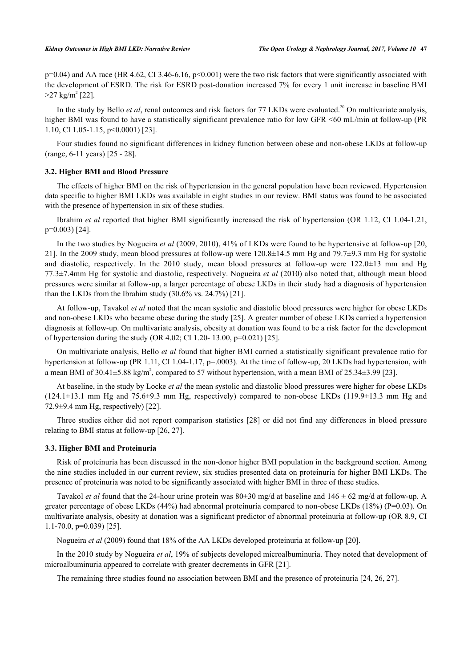$p=0.04$ ) and AA race (HR 4.62, CI 3.46-6.16,  $p<0.001$ ) were the two risk factors that were significantly associated with the development of ESRD. The risk for ESRD post-donation increased 7% for every 1 unit increase in baseline BMI  $>27 \text{ kg/m}^2$  [[22\]](#page-9-11).

In the study by Bello *et al*, renal outcomes and risk factors for 77 LKDs were evaluated.<sup>20</sup> On multivariate analysis, higher BMI was found to have a statistically significant prevalence ratio for low GFR  $\leq 60$  mL/min at follow-up (PR 1.10, CI 1.05-1.15, p<0.0001) [\[23](#page-9-12)].

Four studies found no significant differences in kidney function between obese and non-obese LKDs at follow-up (range, 6-11 years) [\[25](#page-9-14) - [28\]](#page-9-17).

#### **3.2. Higher BMI and Blood Pressure**

The effects of higher BMI on the risk of hypertension in the general population have been reviewed. Hypertension data specific to higher BMI LKDs was available in eight studies in our review. BMI status was found to be associated with the presence of hypertension in six of these studies.

Ibrahim *et al* reported that higher BMI significantly increased the risk of hypertension (OR 1.12, CI 1.04-1.21, p=0.003) [[24\]](#page-9-13).

In the two studies by Nogueira *et al* (2009, 2010), 41% of LKDs were found to be hypertensive at follow-up [[20](#page-9-9), [21\]](#page-9-10). In the 2009 study, mean blood pressures at follow-up were 120.8±14.5 mm Hg and 79.7±9.3 mm Hg for systolic and diastolic, respectively. In the 2010 study, mean blood pressures at follow-up were  $122.0\pm13$  mm and Hg 77.3±7.4mm Hg for systolic and diastolic, respectively. Nogueira *et al* (2010) also noted that, although mean blood pressures were similar at follow-up, a larger percentage of obese LKDs in their study had a diagnosis of hypertension than the LKDs from the Ibrahim study (30.6% vs. 24.7%) [[21\]](#page-9-10).

At follow-up, Tavakol *et al* noted that the mean systolic and diastolic blood pressures were higher for obese LKDs and non-obese LKDs who became obese during the study [\[25](#page-9-14)]. A greater number of obese LKDs carried a hypertension diagnosis at follow-up. On multivariate analysis, obesity at donation was found to be a risk factor for the development of hypertension during the study (OR 4.02; CI 1.20- 13.00, p=0.021) [\[25](#page-9-14)].

On multivariate analysis, Bello *et al* found that higher BMI carried a statistically significant prevalence ratio for hypertension at follow-up (PR 1.11, CI 1.04-1.17, p=.0003). At the time of follow-up, 20 LKDs had hypertension, with a mean BMI of 30.41 $\pm$ 5.88 kg/m<sup>2</sup>, compared to 57 without hypertension, with a mean BMI of 25.34 $\pm$ 3.99 [[23\]](#page-9-12).

At baseline, in the study by Locke *et al* the mean systolic and diastolic blood pressures were higher for obese LKDs (124.1±13.1 mm Hg and 75.6±9.3 mm Hg, respectively) compared to non-obese LKDs (119.9±13.3 mm Hg and 72.9±9.4 mm Hg, respectively) [\[22](#page-9-11)].

Three studies either did not report comparison statistics [[28\]](#page-9-17) or did not find any differences in blood pressure relating to BMI status at follow-up [[26,](#page-9-15) [27\]](#page-9-16).

#### **3.3. Higher BMI and Proteinuria**

Risk of proteinuria has been discussed in the non-donor higher BMI population in the background section. Among the nine studies included in our current review, six studies presented data on proteinuria for higher BMI LKDs. The presence of proteinuria was noted to be significantly associated with higher BMI in three of these studies.

Tavakol *et al* found that the 24-hour urine protein was 80±30 mg/d at baseline and 146 ± 62 mg/d at follow-up. A greater percentage of obese LKDs (44%) had abnormal proteinuria compared to non-obese LKDs (18%) (P=0.03). On multivariate analysis, obesity at donation was a significant predictor of abnormal proteinuria at follow-up (OR 8.9, CI  $1.1-70.0$ ,  $p=0.039$  [\[25](#page-9-14)].

Nogueira *et al* (2009) found that 18% of the AA LKDs developed proteinuria at follow-up [\[20](#page-9-9)].

In the 2010 study by Nogueira *et al*, 19% of subjects developed microalbuminuria. They noted that development of microalbuminuria appeared to correlate with greater decrements in GFR [\[21](#page-9-10)].

The remaining three studies found no association between BMI and the presence of proteinuria [[24,](#page-9-13) [26,](#page-9-15) [27\]](#page-9-16).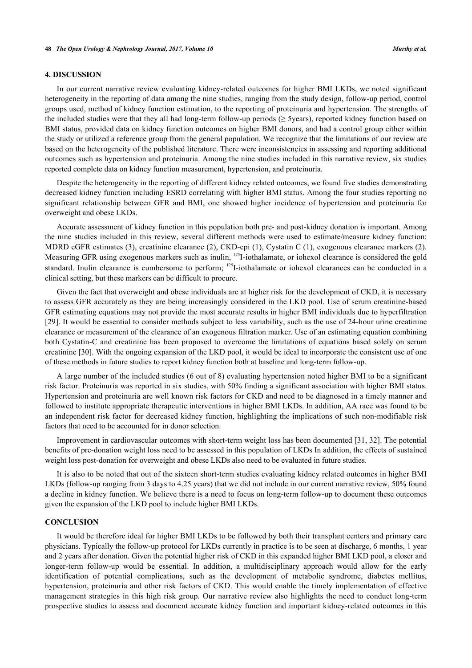#### **4. DISCUSSION**

In our current narrative review evaluating kidney-related outcomes for higher BMI LKDs, we noted significant heterogeneity in the reporting of data among the nine studies, ranging from the study design, follow-up period, control groups used, method of kidney function estimation, to the reporting of proteinuria and hypertension. The strengths of the included studies were that they all had long-term follow-up periods ( $\geq$  5years), reported kidney function based on BMI status, provided data on kidney function outcomes on higher BMI donors, and had a control group either within the study or utilized a reference group from the general population. We recognize that the limitations of our review are based on the heterogeneity of the published literature. There were inconsistencies in assessing and reporting additional outcomes such as hypertension and proteinuria. Among the nine studies included in this narrative review, six studies reported complete data on kidney function measurement, hypertension, and proteinuria.

Despite the heterogeneity in the reporting of different kidney related outcomes, we found five studies demonstrating decreased kidney function including ESRD correlating with higher BMI status. Among the four studies reporting no significant relationship between GFR and BMI, one showed higher incidence of hypertension and proteinuria for overweight and obese LKDs.

Accurate assessment of kidney function in this population both pre- and post-kidney donation is important. Among the nine studies included in this review, several different methods were used to estimate/measure kidney function: MDRD eGFR estimates (3), creatinine clearance (2), CKD-epi (1), Cystatin C (1), exogenous clearance markers (2). Measuring GFR using exogenous markers such as inulin, <sup>125</sup>I-iothalamate, or iohexol clearance is considered the gold standard. Inulin clearance is cumbersome to perform; <sup>125</sup>I-iothalamate or iohexol clearances can be conducted in a clinical setting, but these markers can be difficult to procure.

Given the fact that overweight and obese individuals are at higher risk for the development of CKD, it is necessary to assess GFR accurately as they are being increasingly considered in the LKD pool. Use of serum creatinine-based GFR estimating equations may not provide the most accurate results in higher BMI individuals due to hyperfiltration [\[29](#page-9-18)]. It would be essential to consider methods subject to less variability, such as the use of 24-hour urine creatinine clearance or measurement of the clearance of an exogenous filtration marker. Use of an estimating equation combining both Cystatin-C and creatinine has been proposed to overcome the limitations of equations based solely on serum creatinine [\[30](#page-9-19)]. With the ongoing expansion of the LKD pool, it would be ideal to incorporate the consistent use of one of these methods in future studies to report kidney function both at baseline and long-term follow-up.

A large number of the included studies (6 out of 8) evaluating hypertension noted higher BMI to be a significant risk factor. Proteinuria was reported in six studies, with 50% finding a significant association with higher BMI status. Hypertension and proteinuria are well known risk factors for CKD and need to be diagnosed in a timely manner and followed to institute appropriate therapeutic interventions in higher BMI LKDs. In addition, AA race was found to be an independent risk factor for decreased kidney function, highlighting the implications of such non-modifiable risk factors that need to be accounted for in donor selection.

Improvement in cardiovascular outcomes with short-term weight loss has been documented [[31,](#page-10-0) [32](#page-10-1)]. The potential benefits of pre-donation weight loss need to be assessed in this population of LKDs In addition, the effects of sustained weight loss post-donation for overweight and obese LKDs also need to be evaluated in future studies.

It is also to be noted that out of the sixteen short-term studies evaluating kidney related outcomes in higher BMI LKDs (follow-up ranging from 3 days to 4.25 years) that we did not include in our current narrative review, 50% found a decline in kidney function. We believe there is a need to focus on long-term follow-up to document these outcomes given the expansion of the LKD pool to include higher BMI LKDs.

#### **CONCLUSION**

It would be therefore ideal for higher BMI LKDs to be followed by both their transplant centers and primary care physicians. Typically the follow-up protocol for LKDs currently in practice is to be seen at discharge, 6 months, 1 year and 2 years after donation. Given the potential higher risk of CKD in this expanded higher BMI LKD pool, a closer and longer-term follow-up would be essential. In addition, a multidisciplinary approach would allow for the early identification of potential complications, such as the development of metabolic syndrome, diabetes mellitus, hypertension, proteinuria and other risk factors of CKD. This would enable the timely implementation of effective management strategies in this high risk group. Our narrative review also highlights the need to conduct long-term prospective studies to assess and document accurate kidney function and important kidney-related outcomes in this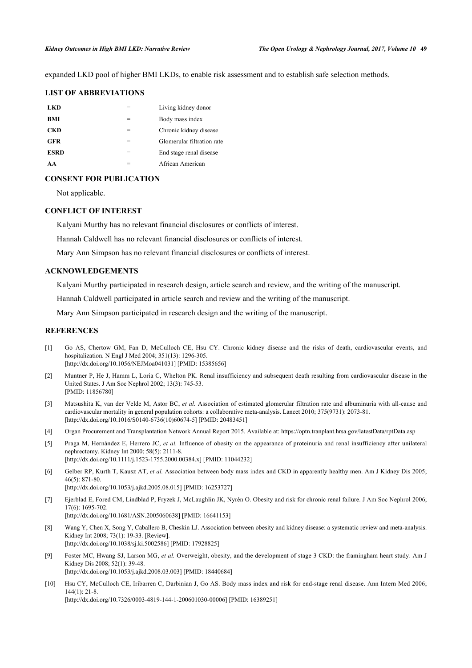expanded LKD pool of higher BMI LKDs, to enable risk assessment and to establish safe selection methods.

## **LIST OF ABBREVIATIONS**

| LKD         |   | Living kidney donor        |
|-------------|---|----------------------------|
| <b>BMI</b>  |   | Body mass index            |
| CKD         | = | Chronic kidney disease     |
| <b>GFR</b>  | = | Glomerular filtration rate |
| <b>ESRD</b> | = | End stage renal disease    |
| AΑ          |   | African American           |

# **CONSENT FOR PUBLICATION**

Not applicable.

### **CONFLICT OF INTEREST**

Kalyani Murthy has no relevant financial disclosures or conflicts of interest.

Hannah Caldwell has no relevant financial disclosures or conflicts of interest.

Mary Ann Simpson has no relevant financial disclosures or conflicts of interest.

### **ACKNOWLEDGEMENTS**

Kalyani Murthy participated in research design, article search and review, and the writing of the manuscript.

Hannah Caldwell participated in article search and review and the writing of the manuscript.

Mary Ann Simpson participated in research design and the writing of the manuscript.

#### **REFERENCES**

- <span id="page-8-0"></span>[1] Go AS, Chertow GM, Fan D, McCulloch CE, Hsu CY. Chronic kidney disease and the risks of death, cardiovascular events, and hospitalization. N Engl J Med 2004; 351(13): 1296-305. [\[http://dx.doi.org/10.1056/NEJMoa041031](http://dx.doi.org/10.1056/NEJMoa041031)] [PMID: [15385656\]](http://www.ncbi.nlm.nih.gov/pubmed/15385656)
- <span id="page-8-1"></span>[2] Muntner P, He J, Hamm L, Loria C, Whelton PK. Renal insufficiency and subsequent death resulting from cardiovascular disease in the United States. J Am Soc Nephrol 2002; 13(3): 745-53. [PMID: [11856780\]](http://www.ncbi.nlm.nih.gov/pubmed/11856780)
- <span id="page-8-2"></span>[3] Matsushita K, van der Velde M, Astor BC, *et al.* Association of estimated glomerular filtration rate and albuminuria with all-cause and cardiovascular mortality in general population cohorts: a collaborative meta-analysis. Lancet 2010; 375(9731): 2073-81. [\[http://dx.doi.org/10.1016/S0140-6736\(10\)60674-5\]](http://dx.doi.org/10.1016/S0140-6736(10)60674-5) [PMID: [20483451](http://www.ncbi.nlm.nih.gov/pubmed/20483451)]
- <span id="page-8-3"></span>[4] Organ Procurement and Transplantation Network Annual Report 2015. Available at: <https://optn.tranplant.hrsa.gov/latestData/rptData.asp>
- <span id="page-8-4"></span>[5] Praga M, Hernández E, Herrero JC, *et al.* Influence of obesity on the appearance of proteinuria and renal insufficiency after unilateral nephrectomy. Kidney Int 2000; 58(5): 2111-8. [\[http://dx.doi.org/10.1111/j.1523-1755.2000.00384.x\]](http://dx.doi.org/10.1111/j.1523-1755.2000.00384.x) [PMID: [11044232](http://www.ncbi.nlm.nih.gov/pubmed/11044232)]
- [6] Gelber RP, Kurth T, Kausz AT, *et al.* Association between body mass index and CKD in apparently healthy men. Am J Kidney Dis 2005; 46(5): 871-80.
- [\[http://dx.doi.org/10.1053/j.ajkd.2005.08.015\]](http://dx.doi.org/10.1053/j.ajkd.2005.08.015) [PMID: [16253727](http://www.ncbi.nlm.nih.gov/pubmed/16253727)]
- <span id="page-8-5"></span>[7] Ejerblad E, Fored CM, Lindblad P, Fryzek J, McLaughlin JK, Nyrén O. Obesity and risk for chronic renal failure. J Am Soc Nephrol 2006; 17(6): 1695-702. [\[http://dx.doi.org/10.1681/ASN.2005060638\]](http://dx.doi.org/10.1681/ASN.2005060638) [PMID: [16641153](http://www.ncbi.nlm.nih.gov/pubmed/16641153)]
- <span id="page-8-6"></span>[8] Wang Y, Chen X, Song Y, Caballero B, Cheskin LJ. Association between obesity and kidney disease: a systematic review and meta-analysis. Kidney Int 2008; 73(1): 19-33. [Review]. [\[http://dx.doi.org/10.1038/sj.ki.5002586](http://dx.doi.org/10.1038/sj.ki.5002586)] [PMID: [17928825\]](http://www.ncbi.nlm.nih.gov/pubmed/17928825)
- <span id="page-8-7"></span>[9] Foster MC, Hwang SJ, Larson MG, *et al.* Overweight, obesity, and the development of stage 3 CKD: the framingham heart study. Am J Kidney Dis 2008; 52(1): 39-48. [\[http://dx.doi.org/10.1053/j.ajkd.2008.03.003\]](http://dx.doi.org/10.1053/j.ajkd.2008.03.003) [PMID: [18440684](http://www.ncbi.nlm.nih.gov/pubmed/18440684)]
- [10] Hsu CY, McCulloch CE, Iribarren C, Darbinian J, Go AS. Body mass index and risk for end-stage renal disease. Ann Intern Med 2006; 144(1): 21-8.

[\[http://dx.doi.org/10.7326/0003-4819-144-1-200601030-00006](http://dx.doi.org/10.7326/0003-4819-144-1-200601030-00006)] [PMID: [16389251\]](http://www.ncbi.nlm.nih.gov/pubmed/16389251)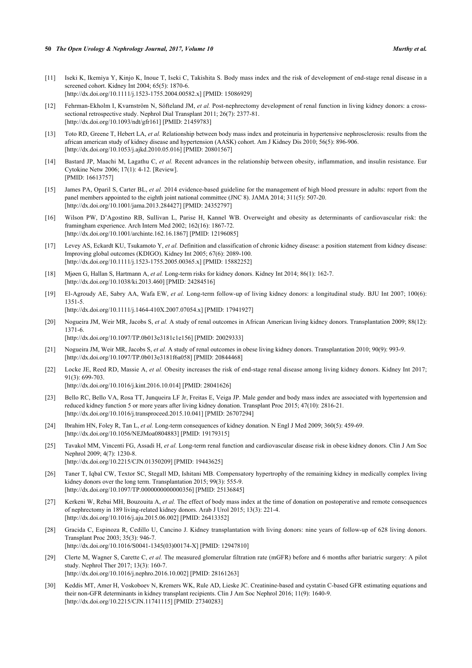- 
- <span id="page-9-0"></span>[11] Iseki K, Ikemiya Y, Kinjo K, Inoue T, Iseki C, Takishita S. Body mass index and the risk of development of end-stage renal disease in a screened cohort. Kidney Int 2004; 65(5): 1870-6. [\[http://dx.doi.org/10.1111/j.1523-1755.2004.00582.x\]](http://dx.doi.org/10.1111/j.1523-1755.2004.00582.x) [PMID: [15086929](http://www.ncbi.nlm.nih.gov/pubmed/15086929)]
- <span id="page-9-1"></span>[12] Fehrman-Ekholm I, Kvarnström N, Söfteland JM, *et al.* Post-nephrectomy development of renal function in living kidney donors: a crosssectional retrospective study. Nephrol Dial Transplant 2011; 26(7): 2377-81. [\[http://dx.doi.org/10.1093/ndt/gfr161\]](http://dx.doi.org/10.1093/ndt/gfr161) [PMID: [21459783](http://www.ncbi.nlm.nih.gov/pubmed/21459783)]
- <span id="page-9-2"></span>[13] Toto RD, Greene T, Hebert LA, *et al.* Relationship between body mass index and proteinuria in hypertensive nephrosclerosis: results from the african american study of kidney disease and hypertension (AASK) cohort. Am J Kidney Dis 2010; 56(5): 896-906. [\[http://dx.doi.org/10.1053/j.ajkd.2010.05.016\]](http://dx.doi.org/10.1053/j.ajkd.2010.05.016) [PMID: [20801567](http://www.ncbi.nlm.nih.gov/pubmed/20801567)]
- <span id="page-9-3"></span>[14] Bastard JP, Maachi M, Lagathu C, et al. Recent advances in the relationship between obesity, inflammation, and insulin resistance. Eur Cytokine Netw 2006; 17(1): 4-12. [Review]. [PMID: [16613757\]](http://www.ncbi.nlm.nih.gov/pubmed/16613757)
- <span id="page-9-4"></span>[15] James PA, Oparil S, Carter BL, *et al.* 2014 evidence-based guideline for the management of high blood pressure in adults: report from the panel members appointed to the eighth joint national committee (JNC 8). JAMA 2014; 311(5): 507-20. [\[http://dx.doi.org/10.1001/jama.2013.284427](http://dx.doi.org/10.1001/jama.2013.284427)] [PMID: [24352797\]](http://www.ncbi.nlm.nih.gov/pubmed/24352797)
- <span id="page-9-5"></span>[16] Wilson PW, D'Agostino RB, Sullivan L, Parise H, Kannel WB. Overweight and obesity as determinants of cardiovascular risk: the framingham experience. Arch Intern Med 2002; 162(16): 1867-72. [\[http://dx.doi.org/10.1001/archinte.162.16.1867\]](http://dx.doi.org/10.1001/archinte.162.16.1867) [PMID: [12196085](http://www.ncbi.nlm.nih.gov/pubmed/12196085)]
- <span id="page-9-6"></span>[17] Levey AS, Eckardt KU, Tsukamoto Y, *et al.* Definition and classification of chronic kidney disease: a position statement from kidney disease: Improving global outcomes (KDIGO). Kidney Int 2005; 67(6): 2089-100. [\[http://dx.doi.org/10.1111/j.1523-1755.2005.00365.x\]](http://dx.doi.org/10.1111/j.1523-1755.2005.00365.x) [PMID: [15882252](http://www.ncbi.nlm.nih.gov/pubmed/15882252)]
- <span id="page-9-7"></span>[18] Mjøen G, Hallan S, Hartmann A, *et al.* Long-term risks for kidney donors. Kidney Int 2014; 86(1): 162-7. [\[http://dx.doi.org/10.1038/ki.2013.460](http://dx.doi.org/10.1038/ki.2013.460)] [PMID: [24284516\]](http://www.ncbi.nlm.nih.gov/pubmed/24284516)
- <span id="page-9-8"></span>[19] El-Agroudy AE, Sabry AA, Wafa EW, *et al.* Long-term follow-up of living kidney donors: a longitudinal study. BJU Int 2007; 100(6): 1351-5. [\[http://dx.doi.org/10.1111/j.1464-410X.2007.07054.x](http://dx.doi.org/10.1111/j.1464-410X.2007.07054.x)] [PMID: [17941927](http://www.ncbi.nlm.nih.gov/pubmed/17941927)]
- <span id="page-9-9"></span>[20] Nogueira JM, Weir MR, Jacobs S, *et al.* A study of renal outcomes in African American living kidney donors. Transplantation 2009; 88(12): 1371-6.

[\[http://dx.doi.org/10.1097/TP.0b013e3181c1e156\]](http://dx.doi.org/10.1097/TP.0b013e3181c1e156) [PMID: [20029333](http://www.ncbi.nlm.nih.gov/pubmed/20029333)]

- <span id="page-9-10"></span>[21] Nogueira JM, Weir MR, Jacobs S, *et al.* A study of renal outcomes in obese living kidney donors. Transplantation 2010; 90(9): 993-9. [\[http://dx.doi.org/10.1097/TP.0b013e3181f6a058\]](http://dx.doi.org/10.1097/TP.0b013e3181f6a058) [PMID: [20844468](http://www.ncbi.nlm.nih.gov/pubmed/20844468)]
- <span id="page-9-11"></span>[22] Locke JE, Reed RD, Massie A, *et al.* Obesity increases the risk of end-stage renal disease among living kidney donors. Kidney Int 2017; 91(3): 699-703. [\[http://dx.doi.org/10.1016/j.kint.2016.10.014](http://dx.doi.org/10.1016/j.kint.2016.10.014)] [PMID: [28041626](http://www.ncbi.nlm.nih.gov/pubmed/28041626)]
- <span id="page-9-12"></span>[23] Bello RC, Bello VA, Rosa TT, Junqueira LF Jr, Freitas E, Veiga JP. Male gender and body mass index are associated with hypertension and reduced kidney function 5 or more years after living kidney donation. Transplant Proc 2015; 47(10): 2816-21. [\[http://dx.doi.org/10.1016/j.transproceed.2015.10.041\]](http://dx.doi.org/10.1016/j.transproceed.2015.10.041) [PMID: [26707294](http://www.ncbi.nlm.nih.gov/pubmed/26707294)]
- <span id="page-9-13"></span>[24] Ibrahim HN, Foley R, Tan L, *et al.* Long-term consequences of kidney donation. N Engl J Med 2009; 360(5): 459-69. [\[http://dx.doi.org/10.1056/NEJMoa0804883](http://dx.doi.org/10.1056/NEJMoa0804883)] [PMID: [19179315\]](http://www.ncbi.nlm.nih.gov/pubmed/19179315)
- <span id="page-9-14"></span>[25] Tavakol MM, Vincenti FG, Assadi H, *et al.* Long-term renal function and cardiovascular disease risk in obese kidney donors. Clin J Am Soc Nephrol 2009; 4(7): 1230-8. [\[http://dx.doi.org/10.2215/CJN.01350209](http://dx.doi.org/10.2215/CJN.01350209)] [PMID: [19443625\]](http://www.ncbi.nlm.nih.gov/pubmed/19443625)
- <span id="page-9-15"></span>[26] Taner T, Iqbal CW, Textor SC, Stegall MD, Ishitani MB. Compensatory hypertrophy of the remaining kidney in medically complex living kidney donors over the long term. Transplantation 2015; 99(3): 555-9. [\[http://dx.doi.org/10.1097/TP.0000000000000356](http://dx.doi.org/10.1097/TP.0000000000000356)] [PMID: [25136845\]](http://www.ncbi.nlm.nih.gov/pubmed/25136845)
- <span id="page-9-16"></span>[27] Kerkeni W, Rebai MH, Bouzouita A, *et al.* The effect of body mass index at the time of donation on postoperative and remote consequences of nephrectomy in 189 living-related kidney donors. Arab J Urol 2015; 13(3): 221-4. [\[http://dx.doi.org/10.1016/j.aju.2015.06.002\]](http://dx.doi.org/10.1016/j.aju.2015.06.002) [PMID: [26413352](http://www.ncbi.nlm.nih.gov/pubmed/26413352)]
- <span id="page-9-17"></span>[28] Gracida C, Espinoza R, Cedillo U, Cancino J. Kidney transplantation with living donors: nine years of follow-up of 628 living donors. Transplant Proc 2003; 35(3): 946-7. [\[http://dx.doi.org/10.1016/S0041-1345\(03\)00174-X\]](http://dx.doi.org/10.1016/S0041-1345(03)00174-X) [PMID: [12947810](http://www.ncbi.nlm.nih.gov/pubmed/12947810)]
- <span id="page-9-18"></span>[29] Clerte M, Wagner S, Carette C, *et al.* The measured glomerular filtration rate (mGFR) before and 6 months after bariatric surgery: A pilot study. Nephrol Ther 2017; 13(3): 160-7. [\[http://dx.doi.org/10.1016/j.nephro.2016.10.002](http://dx.doi.org/10.1016/j.nephro.2016.10.002)] [PMID: [28161263\]](http://www.ncbi.nlm.nih.gov/pubmed/28161263)
- <span id="page-9-19"></span>[30] Keddis MT, Amer H, Voskoboev N, Kremers WK, Rule AD, Lieske JC. Creatinine-based and cystatin C-based GFR estimating equations and their non-GFR determinants in kidney transplant recipients. Clin J Am Soc Nephrol 2016; 11(9): 1640-9. [\[http://dx.doi.org/10.2215/CJN.11741115](http://dx.doi.org/10.2215/CJN.11741115)] [PMID: [27340283\]](http://www.ncbi.nlm.nih.gov/pubmed/27340283)